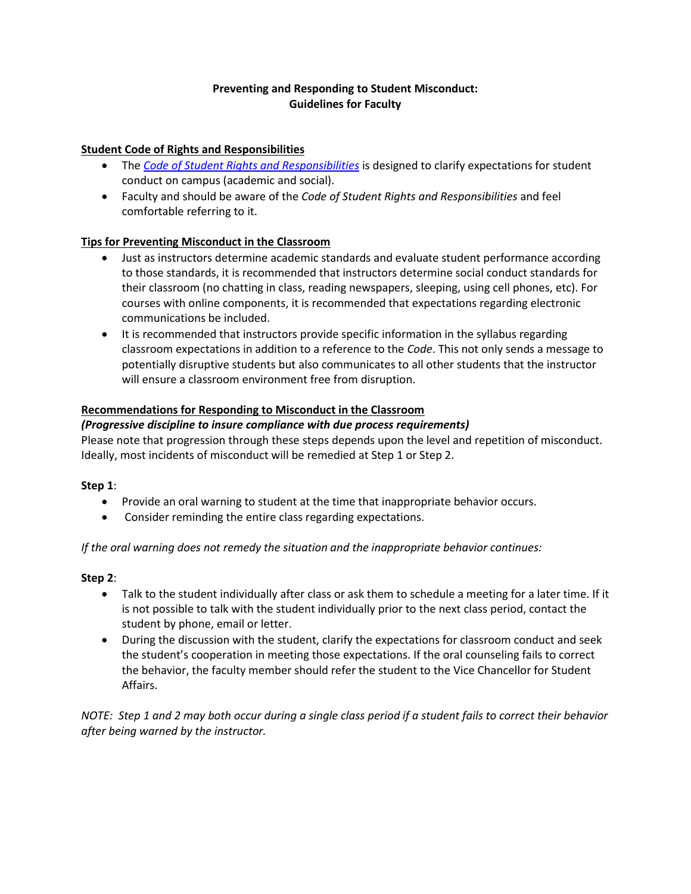# **Preventing and Responding to Student Misconduct: Guidelines for Faculty**

# **Student Code of Rights and Responsibilities**

- The *[Code of Student Rights and Responsibilities](https://www.ivytech.edu/studentcode/)* is designed to clarify expectations for student conduct on campus (academic and social).
- Faculty and should be aware of the *Code of Student Rights and Responsibilities* and feel comfortable referring to it.

## **Tips for Preventing Misconduct in the Classroom**

- Just as instructors determine academic standards and evaluate student performance according to those standards, it is recommended that instructors determine social conduct standards for their classroom (no chatting in class, reading newspapers, sleeping, using cell phones, etc). For courses with online components, it is recommended that expectations regarding electronic communications be included.
- It is recommended that instructors provide specific information in the syllabus regarding classroom expectations in addition to a reference to the *Code*. This not only sends a message to potentially disruptive students but also communicates to all other students that the instructor will ensure a classroom environment free from disruption.

## **Recommendations for Responding to Misconduct in the Classroom**

#### *(Progressive discipline to insure compliance with due process requirements)*

Please note that progression through these steps depends upon the level and repetition of misconduct. Ideally, most incidents of misconduct will be remedied at Step 1 or Step 2.

#### **Step 1**:

- Provide an oral warning to student at the time that inappropriate behavior occurs.
- Consider reminding the entire class regarding expectations.

*If the oral warning does not remedy the situation and the inappropriate behavior continues:*

#### **Step 2**:

- Talk to the student individually after class or ask them to schedule a meeting for a later time. If it is not possible to talk with the student individually prior to the next class period, contact the student by phone, email or letter.
- During the discussion with the student, clarify the expectations for classroom conduct and seek the student's cooperation in meeting those expectations. If the oral counseling fails to correct the behavior, the faculty member should refer the student to the Vice Chancellor for Student Affairs.

*NOTE: Step 1 and 2 may both occur during a single class period if a student fails to correct their behavior after being warned by the instructor.*